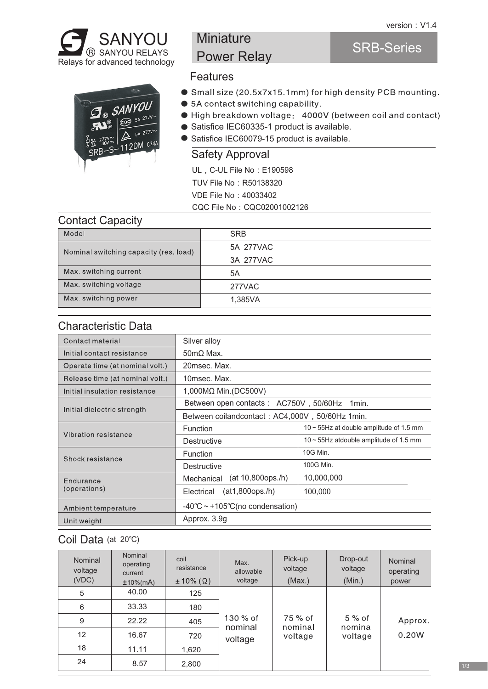

# **Miniature** Power Relay

## SRB-Series



- **Features**
- Small size (20.5x7x15.1mm) for high density PCB mounting.
- 5A contact switching capability.
- High breakdown voltage: 4000V (between coil and contact)
- Satisfice IEC60335-1 product is available.
- Satisfice IEC60079-15 product is available.

#### Safety Approval

UL, C-UL File No: E190598

TUV File No: R50138320

VDE File No:40033402

CQC File No: CQC02001002126

#### Contact Capacity

| Model                                  | <b>SRB</b> |  |  |  |
|----------------------------------------|------------|--|--|--|
| Nominal switching capacity (res. load) | 5A 277VAC  |  |  |  |
|                                        | 3A 277VAC  |  |  |  |
| Max. switching current                 | 5A         |  |  |  |
| Max. switching voltage                 | 277VAC     |  |  |  |
| Max, switching power                   | 1.385VA    |  |  |  |
|                                        |            |  |  |  |

#### Characteristic Data

| Contact material                | Silver alloy                                         |                                               |  |  |
|---------------------------------|------------------------------------------------------|-----------------------------------------------|--|--|
| Initial contact resistance      | $50 \text{m}\Omega$ Max.                             |                                               |  |  |
| Operate time (at nominal volt.) | 20msec. Max.                                         |                                               |  |  |
| Release time (at nominal volt.) | 10msec. Max.                                         |                                               |  |  |
| Initial insulation resistance   | 1,000MΩ Min.(DC500V)                                 |                                               |  |  |
|                                 | Between open contacts: AC750V, 50/60Hz<br>1min.      |                                               |  |  |
| Initial dielectric strength     | Between coilandcontact: AC4,000V, 50/60Hz 1min.      |                                               |  |  |
| Vibration resistance            | Function                                             | $10 \sim 55$ Hz at double amplitude of 1.5 mm |  |  |
|                                 | Destructive                                          | $10 \sim 55$ Hz atdouble amplitude of 1.5 mm  |  |  |
| Shock resistance                | Function                                             | 10G Min.                                      |  |  |
|                                 | <b>Destructive</b>                                   | 100G Min.                                     |  |  |
| Endurance                       | (at 10,800ops./h)<br>Mechanical                      | 10,000,000                                    |  |  |
| (operations)                    | (at1,800ops./h)<br>Electrical                        | 100,000                                       |  |  |
| Ambient temperature             | $-40^{\circ}$ C ~ +105 $^{\circ}$ C(no condensation) |                                               |  |  |
| Unit weight                     | Approx. 3.9g                                         |                                               |  |  |

## Coil Data (at 20°C)

| Nominal<br>voltage<br>(VDC) | Nominal<br>operating<br>current<br>$±10\%$ (mA) | coil<br>resistance<br>$\pm 10\%$ ( $\Omega$ ) | Max.<br>allowable<br>voltage | Pick-up<br>voltage<br>(Max.) | Drop-out<br>voltage<br>(Min.) | Nominal<br>operating<br>power |
|-----------------------------|-------------------------------------------------|-----------------------------------------------|------------------------------|------------------------------|-------------------------------|-------------------------------|
| 5                           | 40.00                                           | 125                                           |                              |                              |                               |                               |
| 6                           | 33.33                                           | 180                                           |                              |                              |                               |                               |
| 9                           | 22.22                                           | 405                                           | 130 % of<br>nominal          | 75 % of<br>nominal           | $5\%$ of<br>nominal           | Approx.                       |
| 12                          | 16.67                                           | 720                                           | voltage                      | voltage                      | voltage                       | 0.20W                         |
| 18                          | 11.11                                           | 1,620                                         |                              |                              |                               |                               |
| 24                          | 8.57                                            | 2,800                                         |                              |                              |                               |                               |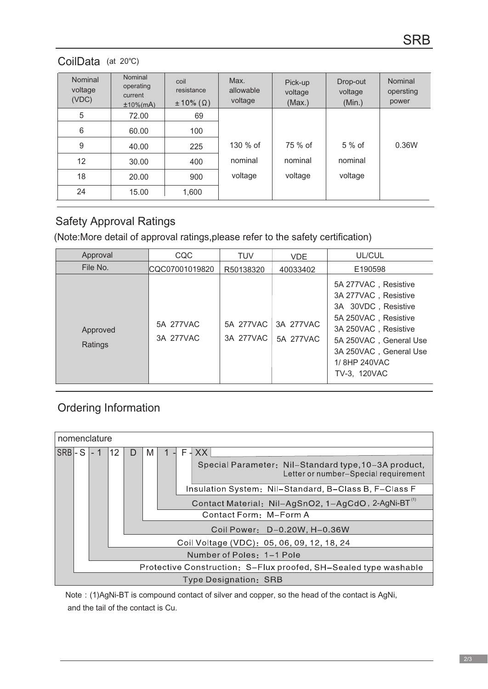## CoilData (at 20℃)

| Nominal<br>voltage<br>(VDC) | Nominal<br>operating<br>current<br>$±10\%$ (mA) | coil<br>resistance<br>$\pm$ 10% ( $\Omega$ ) | Max.<br>allowable<br>voltage | Pick-up<br>voltage<br>(Max.) | Drop-out<br>voltage<br>(Min.) | Nominal<br>opersting<br>power |
|-----------------------------|-------------------------------------------------|----------------------------------------------|------------------------------|------------------------------|-------------------------------|-------------------------------|
| 5                           | 72.00                                           | 69                                           |                              |                              |                               |                               |
| 6                           | 60.00                                           | 100                                          |                              |                              |                               |                               |
| 9                           | 40.00                                           | 225                                          | 130 % of                     | 75 % of                      | 5 % of                        | 0.36W                         |
| 12                          | 30.00                                           | 400                                          | nominal                      | nominal                      | nominal                       |                               |
| 18                          | 20.00                                           | 900                                          | voltage                      | voltage                      | voltage                       |                               |
| 24                          | 15.00                                           | 1,600                                        |                              |                              |                               |                               |

## Safety Approval Ratings

(Note:More detail of approval ratings,please refer to the safety certification)

| Approval            | CQC                    | <b>TUV</b>             | <b>VDE</b>             | UL/CUL                                                                                                                                                                                                  |
|---------------------|------------------------|------------------------|------------------------|---------------------------------------------------------------------------------------------------------------------------------------------------------------------------------------------------------|
| File No.            | CQC07001019820         | R50138320              | 40033402               | E190598                                                                                                                                                                                                 |
| Approved<br>Ratings | 5A 277VAC<br>3A 277VAC | 5A 277VAC<br>3A 277VAC | 3A 277VAC<br>5A 277VAC | 5A 277VAC, Resistive<br>3A 277VAC, Resistive<br>3A 30VDC, Resistive<br>5A 250VAC, Resistive<br>3A 250VAC, Resistive<br>5A 250VAC, General Use<br>3A 250VAC, General Use<br>1/8HP 240VAC<br>TV-3. 120VAC |

## Ordering Information

|                       | nomenclature                                                     |                           |    |                                            |                                                                 |  |                                                                                              |  |  |
|-----------------------|------------------------------------------------------------------|---------------------------|----|--------------------------------------------|-----------------------------------------------------------------|--|----------------------------------------------------------------------------------------------|--|--|
| $ SRB -S$             |                                                                  |                           | 12 | D                                          | M                                                               |  | $F - XX$                                                                                     |  |  |
|                       |                                                                  |                           |    |                                            |                                                                 |  | Special Parameter: Nil-Standard type, 10-3A product,<br>Letter or number-Special requirement |  |  |
|                       |                                                                  |                           |    |                                            | Insulation System: Nil-Standard, B-Class B, F-Class F           |  |                                                                                              |  |  |
|                       |                                                                  |                           |    |                                            | Contact Material: Nil-AgSnO2, 1-AgCdO, 2-AgNi-BT <sup>(1)</sup> |  |                                                                                              |  |  |
|                       |                                                                  |                           |    |                                            | Contact Form: M-Form A                                          |  |                                                                                              |  |  |
|                       |                                                                  |                           |    |                                            | Coil Power: D-0.20W, H-0.36W                                    |  |                                                                                              |  |  |
|                       |                                                                  |                           |    | Coil Voltage (VDC): 05, 06, 09, 12, 18, 24 |                                                                 |  |                                                                                              |  |  |
|                       |                                                                  | Number of Poles: 1-1 Pole |    |                                            |                                                                 |  |                                                                                              |  |  |
|                       | Protective Construction: S-Flux proofed, SH-Sealed type washable |                           |    |                                            |                                                                 |  |                                                                                              |  |  |
| Type Designation: SRB |                                                                  |                           |    |                                            |                                                                 |  |                                                                                              |  |  |

 Note:(1)AgNi-BT is compound contact of silver and copper, so the head of the contact is AgNi, and the tail of the contact is Cu.